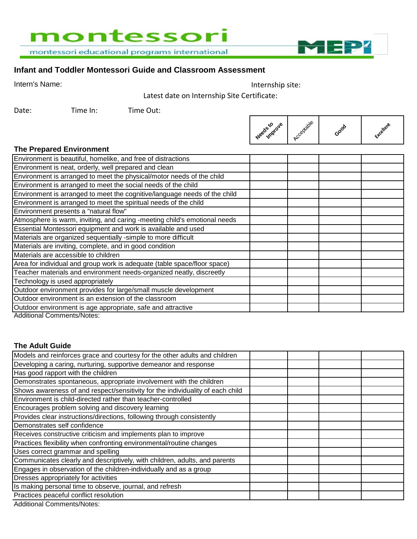# montessori

montessori educational programs international

# **Infant and Toddler Montessori Guide and Classroom Assessment**

Intern's Name: Internship site:

Latest date on Internship Site Certificate:

Date: Time In: Time Out:



MEP<sup>7</sup>

#### **The Prepared Environment**

| Environment is beautiful, homelike, and free of distractions              |  |
|---------------------------------------------------------------------------|--|
| Environment is neat, orderly, well prepared and clean                     |  |
| Environment is arranged to meet the physical/motor needs of the child     |  |
| Environment is arranged to meet the social needs of the child             |  |
| Environment is arranged to meet the cognitive/language needs of the child |  |
| Environment is arranged to meet the spiritual needs of the child          |  |
| Environment presents a "natural flow"                                     |  |
| Atmosphere is warm, inviting, and caring -meeting child's emotional needs |  |
| Essential Montessori equipment and work is available and used             |  |
| Materials are organized sequentially -simple to more difficult            |  |
| Materials are inviting, complete, and in good condition                   |  |
| Materials are accessible to children                                      |  |
| Area for individual and group work is adequate (table space/floor space)  |  |
| Teacher materials and environment needs-organized neatly, discreetly      |  |
| Technology is used appropriately                                          |  |
| Outdoor environment provides for large/small muscle development           |  |
| Outdoor environment is an extension of the classroom                      |  |
| Outdoor environment is age appropriate, safe and attractive               |  |
| <b>Additional Comments/Notes:</b>                                         |  |

#### **The Adult Guide**

| Models and reinforces grace and courtesy for the other adults and children     |  |  |
|--------------------------------------------------------------------------------|--|--|
| Developing a caring, nurturing, supportive demeanor and response               |  |  |
| Has good rapport with the children                                             |  |  |
| Demonstrates spontaneous, appropriate involvement with the children            |  |  |
| Shows awareness of and respect/sensitivity for the individuality of each child |  |  |
| Environment is child-directed rather than teacher-controlled                   |  |  |
| Encourages problem solving and discovery learning                              |  |  |
| Provides clear instructions/directions, following through consistently         |  |  |
| Demonstrates self confidence                                                   |  |  |
| Receives constructive criticism and implements plan to improve                 |  |  |
| Practices flexibility when confronting environmental/routine changes           |  |  |
| Uses correct grammar and spelling                                              |  |  |
| Communicates clearly and descriptively, with children, adults, and parents     |  |  |
| Engages in observation of the children-individually and as a group             |  |  |
| Dresses appropriately for activities                                           |  |  |
| Is making personal time to observe, journal, and refresh                       |  |  |
| Practices peaceful conflict resolution                                         |  |  |
| Additional Commonte/Natoe:                                                     |  |  |

Additional Comments/Notes: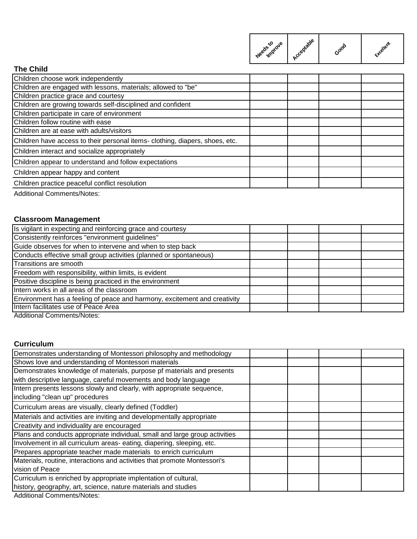| Improve<br>Needs to | Acceptable | Gooo | Exterient |
|---------------------|------------|------|-----------|
|                     |            |      |           |

# **The Child**

| ו וופ טוווע                                                                 |  |  |
|-----------------------------------------------------------------------------|--|--|
| Children choose work independently                                          |  |  |
| Children are engaged with lessons, materials; allowed to "be"               |  |  |
| Children practice grace and courtesy                                        |  |  |
| Children are growing towards self-disciplined and confident                 |  |  |
| Children participate in care of environment                                 |  |  |
| Children follow routine with ease                                           |  |  |
| Children are at ease with adults/visitors                                   |  |  |
| Children have access to their personal items-clothing, diapers, shoes, etc. |  |  |
| Children interact and socialize appropriately                               |  |  |
| Children appear to understand and follow expectations                       |  |  |
| Children appear happy and content                                           |  |  |
| Children practice peaceful conflict resolution                              |  |  |
| <b>Additional Comments/Notes:</b>                                           |  |  |
|                                                                             |  |  |
|                                                                             |  |  |
| <b>Classroom Management</b>                                                 |  |  |
| Is vigilant in expecting and reinforcing grace and courtesy                 |  |  |
| Consistently reinforces "environment guidelines"                            |  |  |
| Guide observes for when to intervene and when to step back                  |  |  |
| Conducts effective small group activities (planned or spontaneous)          |  |  |
| Transitions are smooth                                                      |  |  |
| $\sf E$ reedom with responsibility, within limits, is evident               |  |  |

| Freedom with responsibility, within limits, is evident                    |  |  |
|---------------------------------------------------------------------------|--|--|
| Positive discipline is being practiced in the environment                 |  |  |
| Intern works in all areas of the classroom                                |  |  |
| Environment has a feeling of peace and harmony, excitement and creativity |  |  |
| Intern facilitates use of Peace Area                                      |  |  |
| $\mathbf{A}$ and $\mathbf{A}$<br>$\sim$ $\sim$                            |  |  |

Additional Comments/Notes:

## **Curriculum**

| Demonstrates understanding of Montessori philosophy and methodology         |  |  |
|-----------------------------------------------------------------------------|--|--|
| Shows love and understanding of Montessori materials                        |  |  |
| Demonstrates knowledge of materials, purpose pf materials and presents      |  |  |
| with descriptive language, careful movements and body language              |  |  |
| Intern presents lessons slowly and clearly, with appropriate sequence,      |  |  |
| including "clean up" procedures                                             |  |  |
| Curriculum areas are visually, clearly defined (Toddler)                    |  |  |
| Materials and activities are inviting and developmentally appropriate       |  |  |
| Creativity and individuality are encouraged                                 |  |  |
| Plans and conducts appropriate individual, small and large group activities |  |  |
| Involvement in all curriculum areas-eating, diapering, sleeping, etc.       |  |  |
| Prepares appropriate teacher made materials to enrich curriculum            |  |  |
| Materials, routine, interactions and activities that promote Montessori's   |  |  |
| vision of Peace                                                             |  |  |
| Curriculum is enriched by appropriate implentation of cultural,             |  |  |
| history, geography, art, science, nature materials and studies              |  |  |
| $\Lambda$ -letters of $\Omega$ cases on the $\Lambda$ letters.              |  |  |

Additional Comments/Notes: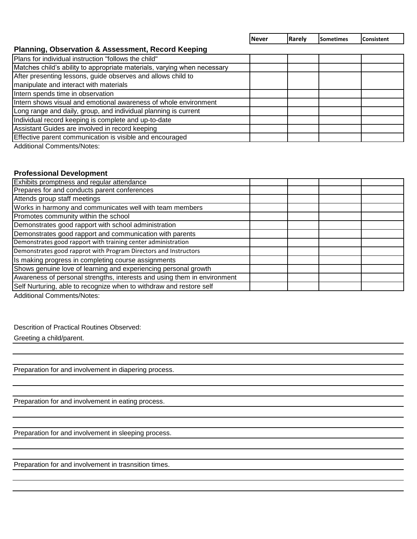**Never Rarely Sometimes Consistent**

### **Planning, Observation & Assessment, Record Keeping**

| Plans for individual instruction "follows the child"                     |  |  |
|--------------------------------------------------------------------------|--|--|
| Matches child's ability to appropriate materials, varying when necessary |  |  |
| After presenting lessons, guide observes and allows child to             |  |  |
| manipulate and interact with materials                                   |  |  |
| Intern spends time in observation                                        |  |  |
| Intern shows visual and emotional awareness of whole environment         |  |  |
| Long range and daily, group, and individual planning is current          |  |  |
| Individual record keeping is complete and up-to-date                     |  |  |
| Assistant Guides are involved in record keeping                          |  |  |
| Effective parent communication is visible and encouraged                 |  |  |
| Additional Composed (Natao)                                              |  |  |

Additional Comments/Notes:

## **Professional Development**

| Exhibits promptness and regular attendance                               |  |  |
|--------------------------------------------------------------------------|--|--|
| Prepares for and conducts parent conferences                             |  |  |
| Attends group staff meetings                                             |  |  |
| Works in harmony and communicates well with team members                 |  |  |
| Promotes community within the school                                     |  |  |
| Demonstrates good rapport with school administration                     |  |  |
| Demonstrates good rapport and communication with parents                 |  |  |
| Demonstrates good rapport with training center administration            |  |  |
| Demonstrates good rapprot with Program Directors and Instructors         |  |  |
| Is making progress in completing course assignments                      |  |  |
| Shows genuine love of learning and experiencing personal growth          |  |  |
| Awareness of personal strengths, interests and using them in environment |  |  |
| Self Nurturing, able to recognize when to withdraw and restore self      |  |  |

Additional Comments/Notes:

Descrition of Practical Routines Observed:

Greeting a child/parent.

Preparation for and involvement in diapering process.

Preparation for and involvement in eating process.

Preparation for and involvement in sleeping process.

Preparation for and involvement in trasnsition times.